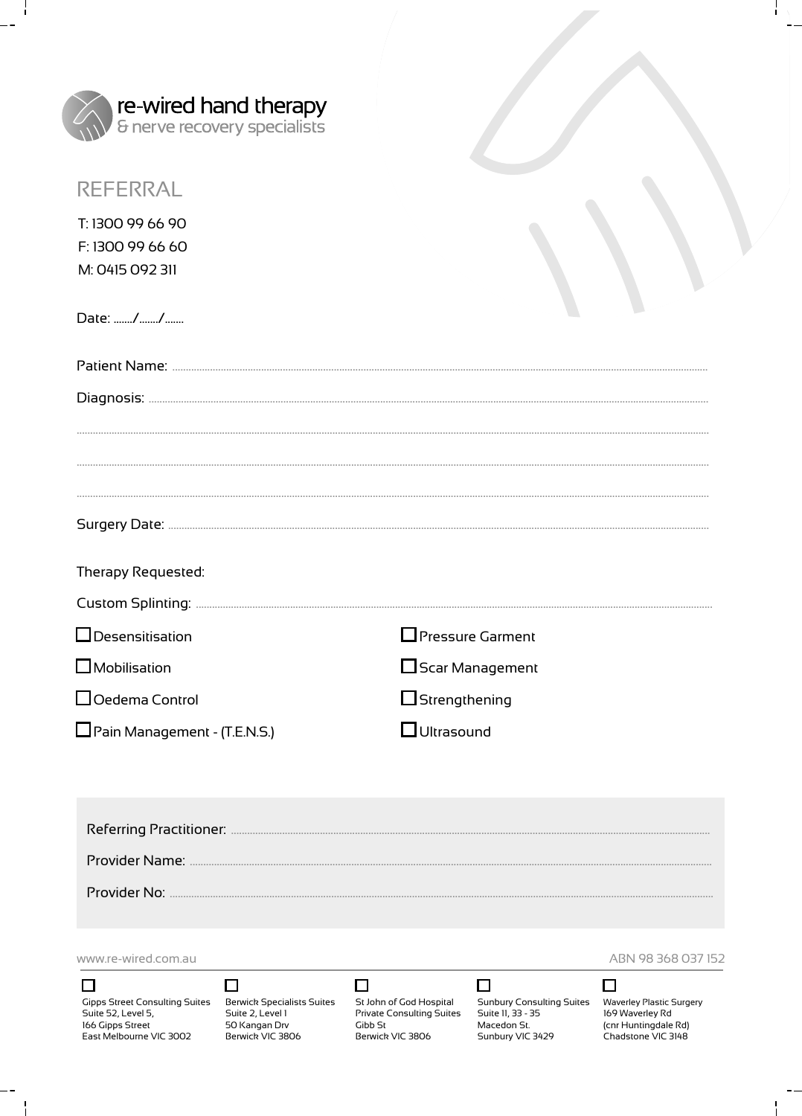| <b>re-wired hand therapy</b><br>& nerve recovery specialists |  |
|--------------------------------------------------------------|--|
| <b>REFERRAL</b>                                              |  |
| T: 1300 99 66 90<br>F: 1300 99 66 60<br>M: 0415 092 311      |  |
| Date: //                                                     |  |
|                                                              |  |
|                                                              |  |
|                                                              |  |
|                                                              |  |
|                                                              |  |
| Therapy Requested:                                           |  |

| $\Box$ Desensitisation | <b>Pressure Garment</b> |
|------------------------|-------------------------|
| $\Box$ Mobilisation    | $\Box$ Scar Management  |

 $\Box$  Oedema Control

÷,

Pain Management - (T.E.N.S.)

 $\Box$  Strengthening

 $\Box$  Ultrasound

www.re-wired.com.au

 $\Box$ 

ÿ

# $\Box$

St John of God Hospital Private Consulting Suites Gibb St<br>Berwick VIC 3806

□

### □

Sunbury Consulting Suites Waverley Plastic Surgery<br>Suite 11, 33 - 35 169 Waverley Rd Macedon St.<br>Sunbury VIC 3429

ABN 98 368 037 152

ł.



(cnr Huntingdale Rd)<br>Chadstone VIC 3148

 $\blacksquare$ 

Suite 52, Level 5, 166 Gipps Street<br>East Melbourne VIC 3002

# Gipps Street Consulting Suites Berwick Specialists Suites Suite 2, Level 1 50 Kangan Drv<br>Berwick VIC 3806